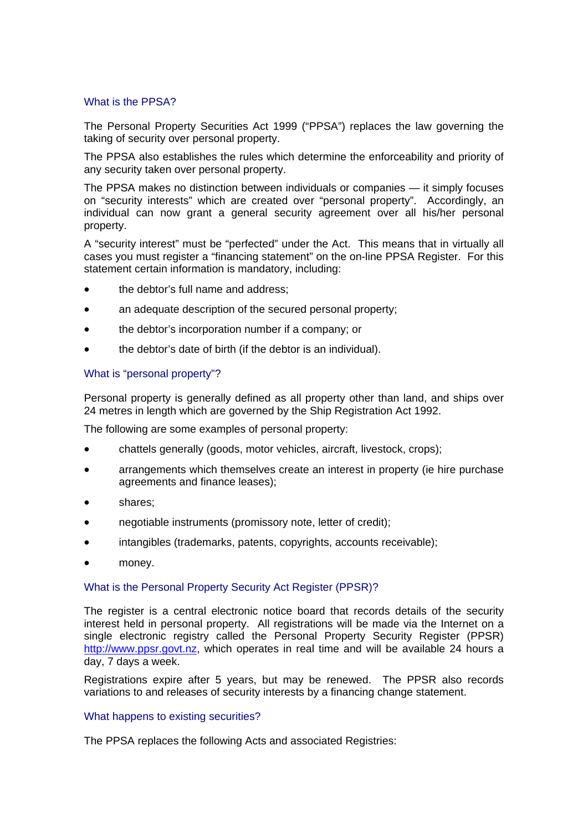### What is the PPSA?

The Personal Property Securities Act 1999 ("PPSA") replaces the law governing the taking of security over personal property.

The PPSA also establishes the rules which determine the enforceability and priority of any security taken over personal property.

The PPSA makes no distinction between individuals or companies — it simply focuses on "security interests" which are created over "personal property". Accordingly, an individual can now grant a general security agreement over all his/her personal property.

A "security interest" must be "perfected" under the Act. This means that in virtually all cases you must register a "financing statement" on the on-line PPSA Register. For this statement certain information is mandatory, including:

- the debtor's full name and address;
- an adequate description of the secured personal property;
- the debtor's incorporation number if a company; or
- the debtor's date of birth (if the debtor is an individual).

## What is "personal property"?

Personal property is generally defined as all property other than land, and ships over 24 metres in length which are governed by the Ship Registration Act 1992.

The following are some examples of personal property:

- chattels generally (goods, motor vehicles, aircraft, livestock, crops);
- arrangements which themselves create an interest in property (ie hire purchase agreements and finance leases);
- shares:
- negotiable instruments (promissory note, letter of credit);
- intangibles (trademarks, patents, copyrights, accounts receivable);
- money.

#### What is the Personal Property Security Act Register (PPSR)?

The register is a central electronic notice board that records details of the security interest held in personal property. All registrations will be made via the Internet on a single electronic registry called the Personal Property Security Register (PPSR) http://www.ppsr.govt.nz, which operates in real time and will be available 24 hours a day, 7 days a week.

Registrations expire after 5 years, but may be renewed. The PPSR also records variations to and releases of security interests by a financing change statement.

#### What happens to existing securities?

The PPSA replaces the following Acts and associated Registries: